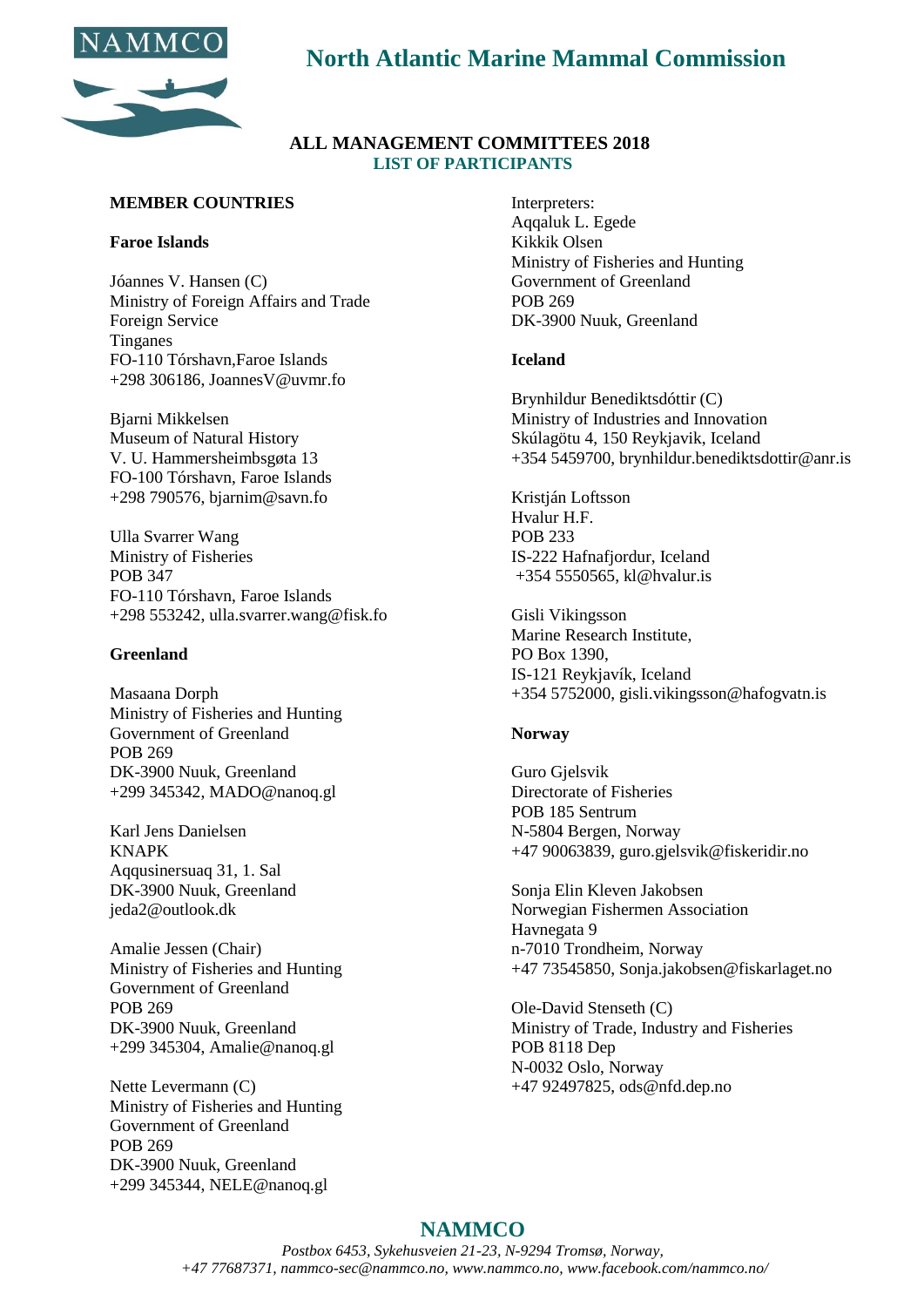

# **North Atlantic Marine Mammal Commission**

### **ALL MANAGEMENT COMMITTEES 2018 LIST OF PARTICIPANTS**

### **MEMBER COUNTRIES**

### **Faroe Islands**

Jóannes V. Hansen (C) Ministry of Foreign Affairs and Trade Foreign Service Tinganes FO-110 Tórshavn,Faroe Islands  $+298$  306186, JoannesV@uvmr.fo

Bjarni Mikkelsen Museum of Natural History V. U. Hammersheimbsgøta 13 FO-100 Tórshavn, Faroe Islands +298 790576, bjarnim@savn.fo

Ulla Svarrer Wang Ministry of Fisheries POB 347 FO-110 Tórshavn, Faroe Islands +298 553242, ulla.svarrer.wang@fisk.fo

### **Greenland**

Masaana Dorph Ministry of Fisheries and Hunting Government of Greenland POB 269 DK-3900 Nuuk, Greenland +299 345342, [MADO@nanoq.gl](mailto:MADO@nanoq.gl)

Karl Jens Danielsen KNAPK Aqqusinersuaq 31, 1. Sal DK-3900 Nuuk, Greenland [jeda2@outlook.dk](mailto:jeda2@outlook.dk)

Amalie Jessen (Chair) Ministry of Fisheries and Hunting Government of Greenland POB 269 DK-3900 Nuuk, Greenland +299 345304, [Amalie@nanoq.gl](mailto:Amalie@nanoq.gl)

Nette Levermann (C) Ministry of Fisheries and Hunting Government of Greenland POB 269 DK-3900 Nuuk, Greenland +299 345344, [NELE@nanoq.gl](mailto:NELE@nanoq.gl)

Interpreters: Aqqaluk L. Egede Kikkik Olsen Ministry of Fisheries and Hunting Government of Greenland POB 269 DK-3900 Nuuk, Greenland

### **Iceland**

Brynhildur Benediktsdóttir (C) Ministry of Industries and Innovation Skúlagötu 4, 150 Reykjavik, Iceland +354 5459700, brynhildur.benediktsdottir@anr.is

Kristján Loftsson Hvalur H.F. POB 233 IS-222 Hafnafjordur, Iceland +354 5550565, [kl@hvalur.is](mailto:kl@hvalur.is)

Gisli Vikingsson Marine Research Institute, PO Box 1390, IS-121 Reykjavík, Iceland +354 5752000, [gisli.vikingsson@hafogvatn.is](mailto:gisli.vikingsson@hafogvatn.is)

### **Norway**

Guro Gjelsvik Directorate of Fisheries POB 185 Sentrum N-5804 Bergen, Norway +47 90063839, guro.gjelsvik@fiskeridir.no

Sonja Elin Kleven Jakobsen Norwegian Fishermen Association Havnegata 9 n-7010 Trondheim, Norway +47 73545850, [Sonja.jakobsen@fiskarlaget.no](mailto:Sonja.jakobsen@fiskarlaget.no)

Ole-David Stenseth (C) Ministry of Trade, Industry and Fisheries POB 8118 Dep N-0032 Oslo, Norway +47 92497825, ods@nfd.dep.no

## **NAMMCO**